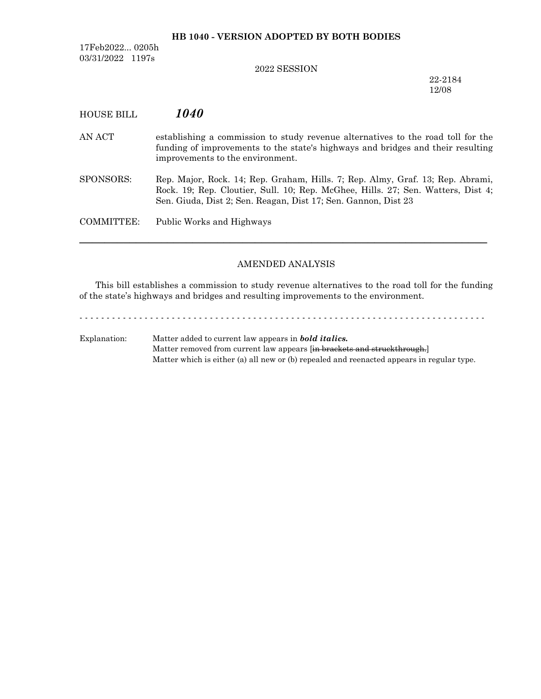## **HB 1040 - VERSION ADOPTED BY BOTH BODIES**

17Feb2022... 0205h 03/31/2022 1197s

# 2022 SESSION

22-2184 12/08

| <b>HOUSE BILL</b> | <i>1040</i>                                                                                                                                                                                                                          |
|-------------------|--------------------------------------------------------------------------------------------------------------------------------------------------------------------------------------------------------------------------------------|
| AN ACT            | establishing a commission to study revenue alternatives to the road toll for the<br>funding of improvements to the state's highways and bridges and their resulting<br>improvements to the environment.                              |
| SPONSORS:         | Rep. Major, Rock. 14; Rep. Graham, Hills. 7; Rep. Almy, Graf. 13; Rep. Abrami,<br>Rock. 19; Rep. Cloutier, Sull. 10; Rep. McGhee, Hills. 27; Sen. Watters, Dist 4;<br>Sen. Giuda, Dist 2; Sen. Reagan, Dist 17; Sen. Gannon, Dist 23 |
| COMMITTEE:        | Public Works and Highways                                                                                                                                                                                                            |
|                   |                                                                                                                                                                                                                                      |

# AMENDED ANALYSIS

This bill establishes a commission to study revenue alternatives to the road toll for the funding of the state's highways and bridges and resulting improvements to the environment.

- - - - - - - - - - - - - - - - - - - - - - - - - - - - - - - - - - - - - - - - - - - - - - - - - - - - - - - - - - - - - - - - - - - - - - - - - - - Explanation: Matter added to current law appears in *bold italics.* Matter removed from current law appears [in brackets and struckthrough.] Matter which is either (a) all new or (b) repealed and reenacted appears in regular type.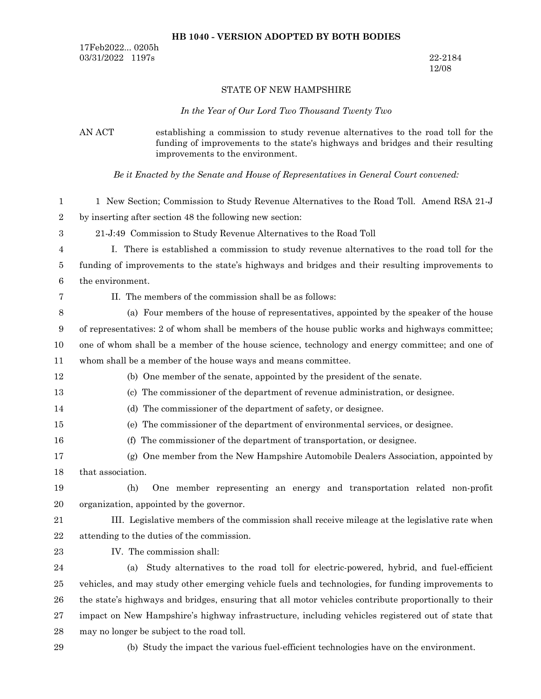### **HB 1040 - VERSION ADOPTED BY BOTH BODIES**

17Feb2022... 0205h 03/31/2022 1197s 22-2184

12/08

### STATE OF NEW HAMPSHIRE

#### *In the Year of Our Lord Two Thousand Twenty Two*

AN ACT establishing a commission to study revenue alternatives to the road toll for the funding of improvements to the state's highways and bridges and their resulting improvements to the environment.

*Be it Enacted by the Senate and House of Representatives in General Court convened:*

1 New Section; Commission to Study Revenue Alternatives to the Road Toll. Amend RSA 21-J by inserting after section 48 the following new section: 1 2

21-J:49 Commission to Study Revenue Alternatives to the Road Toll 3

I. There is established a commission to study revenue alternatives to the road toll for the funding of improvements to the state's highways and bridges and their resulting improvements to the environment. 4 5 6

7

12 13 14

16

II. The members of the commission shall be as follows:

(a) Four members of the house of representatives, appointed by the speaker of the house of representatives: 2 of whom shall be members of the house public works and highways committee; one of whom shall be a member of the house science, technology and energy committee; and one of whom shall be a member of the house ways and means committee. 8 9 10 11

- (b) One member of the senate, appointed by the president of the senate.
- (c) The commissioner of the department of revenue administration, or designee.
- (d) The commissioner of the department of safety, or designee.
- (e) The commissioner of the department of environmental services, or designee. 15
	- (f) The commissioner of the department of transportation, or designee.

(g) One member from the New Hampshire Automobile Dealers Association, appointed by that association. 17 18

(h) One member representing an energy and transportation related non-profit organization, appointed by the governor. 19 20

III. Legislative members of the commission shall receive mileage at the legislative rate when attending to the duties of the commission. 21 22

IV. The commission shall: 23

(a) Study alternatives to the road toll for electric-powered, hybrid, and fuel-efficient vehicles, and may study other emerging vehicle fuels and technologies, for funding improvements to the state's highways and bridges, ensuring that all motor vehicles contribute proportionally to their impact on New Hampshire's highway infrastructure, including vehicles registered out of state that may no longer be subject to the road toll. 24 25 26 27 28

29

(b) Study the impact the various fuel-efficient technologies have on the environment.